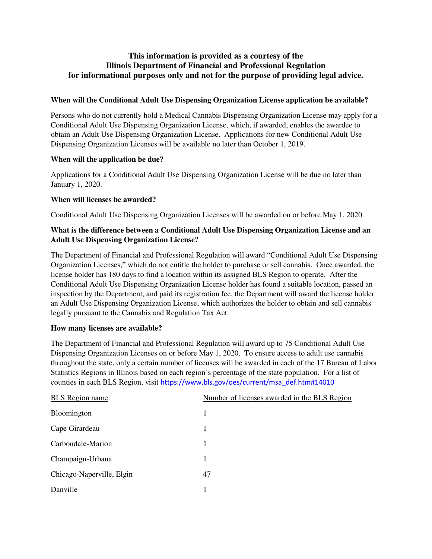# **This information is provided as a courtesy of the Illinois Department of Financial and Professional Regulation for informational purposes only and not for the purpose of providing legal advice.**

### **When will the Conditional Adult Use Dispensing Organization License application be available?**

Persons who do not currently hold a Medical Cannabis Dispensing Organization License may apply for a Conditional Adult Use Dispensing Organization License, which, if awarded, enables the awardee to obtain an Adult Use Dispensing Organization License. Applications for new Conditional Adult Use Dispensing Organization Licenses will be available no later than October 1, 2019.

#### **When will the application be due?**

Applications for a Conditional Adult Use Dispensing Organization License will be due no later than January 1, 2020.

#### **When will licenses be awarded?**

Conditional Adult Use Dispensing Organization Licenses will be awarded on or before May 1, 2020.

### **What is the difference between a Conditional Adult Use Dispensing Organization License and an Adult Use Dispensing Organization License?**

The Department of Financial and Professional Regulation will award "Conditional Adult Use Dispensing Organization Licenses," which do not entitle the holder to purchase or sell cannabis. Once awarded, the license holder has 180 days to find a location within its assigned BLS Region to operate. After the Conditional Adult Use Dispensing Organization License holder has found a suitable location, passed an inspection by the Department, and paid its registration fee, the Department will award the license holder an Adult Use Dispensing Organization License, which authorizes the holder to obtain and sell cannabis legally pursuant to the Cannabis and Regulation Tax Act.

#### **How many licenses are available?**

The Department of Financial and Professional Regulation will award up to 75 Conditional Adult Use Dispensing Organization Licenses on or before May 1, 2020. To ensure access to adult use cannabis throughout the state, only a certain number of licenses will be awarded in each of the 17 Bureau of Labor Statistics Regions in Illinois based on each region's percentage of the state population. For a list of counties in each BLS Region, visit https://www.bls.gov/oes/current/msa\_def.htm#14010

| <b>BLS</b> Region name    | Number of licenses awarded in the BLS Region |
|---------------------------|----------------------------------------------|
| Bloomington               |                                              |
| Cape Girardeau            | 1                                            |
| Carbondale-Marion         |                                              |
| Champaign-Urbana          |                                              |
| Chicago-Naperville, Elgin | 47                                           |
| Danville                  |                                              |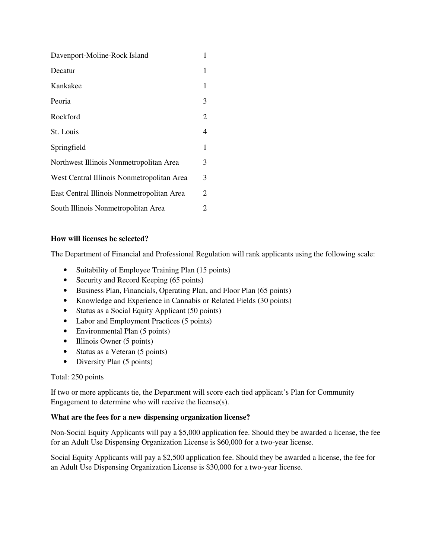| Davenport-Moline-Rock Island               | 1 |
|--------------------------------------------|---|
| Decatur                                    | 1 |
| Kankakee                                   | 1 |
| Peoria                                     | 3 |
| Rockford                                   | 2 |
| St. Louis                                  | 4 |
| Springfield                                | 1 |
| Northwest Illinois Nonmetropolitan Area    | 3 |
| West Central Illinois Nonmetropolitan Area | 3 |
| East Central Illinois Nonmetropolitan Area | 2 |
| South Illinois Nonmetropolitan Area        | 2 |

# **How will licenses be selected?**

The Department of Financial and Professional Regulation will rank applicants using the following scale:

- Suitability of Employee Training Plan (15 points)
- Security and Record Keeping (65 points)
- Business Plan, Financials, Operating Plan, and Floor Plan (65 points)
- Knowledge and Experience in Cannabis or Related Fields (30 points)
- Status as a Social Equity Applicant (50 points)
- Labor and Employment Practices (5 points)
- Environmental Plan (5 points)
- Illinois Owner (5 points)
- Status as a Veteran (5 points)
- Diversity Plan (5 points)

# Total: 250 points

If two or more applicants tie, the Department will score each tied applicant's Plan for Community Engagement to determine who will receive the license(s).

# **What are the fees for a new dispensing organization license?**

Non-Social Equity Applicants will pay a \$5,000 application fee. Should they be awarded a license, the fee for an Adult Use Dispensing Organization License is \$60,000 for a two-year license.

Social Equity Applicants will pay a \$2,500 application fee. Should they be awarded a license, the fee for an Adult Use Dispensing Organization License is \$30,000 for a two-year license.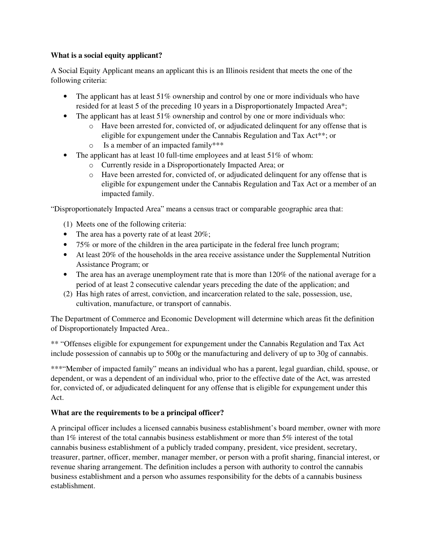### **What is a social equity applicant?**

A Social Equity Applicant means an applicant this is an Illinois resident that meets the one of the following criteria:

- The applicant has at least 51% ownership and control by one or more individuals who have resided for at least 5 of the preceding 10 years in a Disproportionately Impacted Area\*;
- The applicant has at least 51% ownership and control by one or more individuals who:
	- o Have been arrested for, convicted of, or adjudicated delinquent for any offense that is eligible for expungement under the Cannabis Regulation and Tax Act\*\*; or
	- o Is a member of an impacted family\*\*\*
- The applicant has at least 10 full-time employees and at least 51% of whom:
	- o Currently reside in a Disproportionately Impacted Area; or
	- o Have been arrested for, convicted of, or adjudicated delinquent for any offense that is eligible for expungement under the Cannabis Regulation and Tax Act or a member of an impacted family.

"Disproportionately Impacted Area" means a census tract or comparable geographic area that:

- (1) Meets one of the following criteria:
- The area has a poverty rate of at least 20%;
- 75% or more of the children in the area participate in the federal free lunch program;
- At least 20% of the households in the area receive assistance under the Supplemental Nutrition Assistance Program; or
- The area has an average unemployment rate that is more than 120% of the national average for a period of at least 2 consecutive calendar years preceding the date of the application; and
- (2) Has high rates of arrest, conviction, and incarceration related to the sale, possession, use, cultivation, manufacture, or transport of cannabis.

The Department of Commerce and Economic Development will determine which areas fit the definition of Disproportionately Impacted Area..

\*\* "Offenses eligible for expungement for expungement under the Cannabis Regulation and Tax Act include possession of cannabis up to 500g or the manufacturing and delivery of up to 30g of cannabis.

\*\*\*"Member of impacted family" means an individual who has a parent, legal guardian, child, spouse, or dependent, or was a dependent of an individual who, prior to the effective date of the Act, was arrested for, convicted of, or adjudicated delinquent for any offense that is eligible for expungement under this Act.

# **What are the requirements to be a principal officer?**

A principal officer includes a licensed cannabis business establishment's board member, owner with more than 1% interest of the total cannabis business establishment or more than 5% interest of the total cannabis business establishment of a publicly traded company, president, vice president, secretary, treasurer, partner, officer, member, manager member, or person with a profit sharing, financial interest, or revenue sharing arrangement. The definition includes a person with authority to control the cannabis business establishment and a person who assumes responsibility for the debts of a cannabis business establishment.